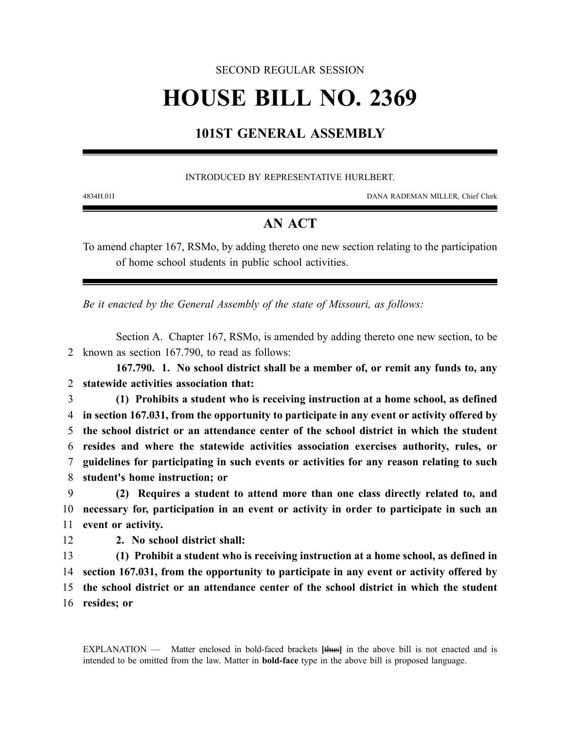### SECOND REGULAR SESSION

# **HOUSE BILL NO. 2369**

## **101ST GENERAL ASSEMBLY**

#### INTRODUCED BY REPRESENTATIVE HURLBERT.

4834H.01I DANA RADEMAN MILLER, Chief Clerk

## **AN ACT**

To amend chapter 167, RSMo, by adding thereto one new section relating to the participation of home school students in public school activities.

*Be it enacted by the General Assembly of the state of Missouri, as follows:*

Section A. Chapter 167, RSMo, is amended by adding thereto one new section, to be 2 known as section 167.790, to read as follows:

**167.790. 1. No school district shall be a member of, or remit any funds to, any** 2 **statewide activities association that:**

 **(1) Prohibits a student who is receiving instruction at a home school, as defined in section 167.031, from the opportunity to participate in any event or activity offered by the school district or an attendance center of the school district in which the student resides and where the statewide activities association exercises authority, rules, or guidelines for participating in such events or activities for any reason relating to such student's home instruction; or**

9 **(2) Requires a student to attend more than one class directly related to, and** 10 **necessary for, participation in an event or activity in order to participate in such an** 11 **event or activity.**

12 **2. No school district shall:**

 **(1) Prohibit a student who is receiving instruction at a home school, as defined in section 167.031, from the opportunity to participate in any event or activity offered by the school district or an attendance center of the school district in which the student resides; or**

EXPLANATION — Matter enclosed in bold-faced brackets **[**thus**]** in the above bill is not enacted and is intended to be omitted from the law. Matter in **bold-face** type in the above bill is proposed language.